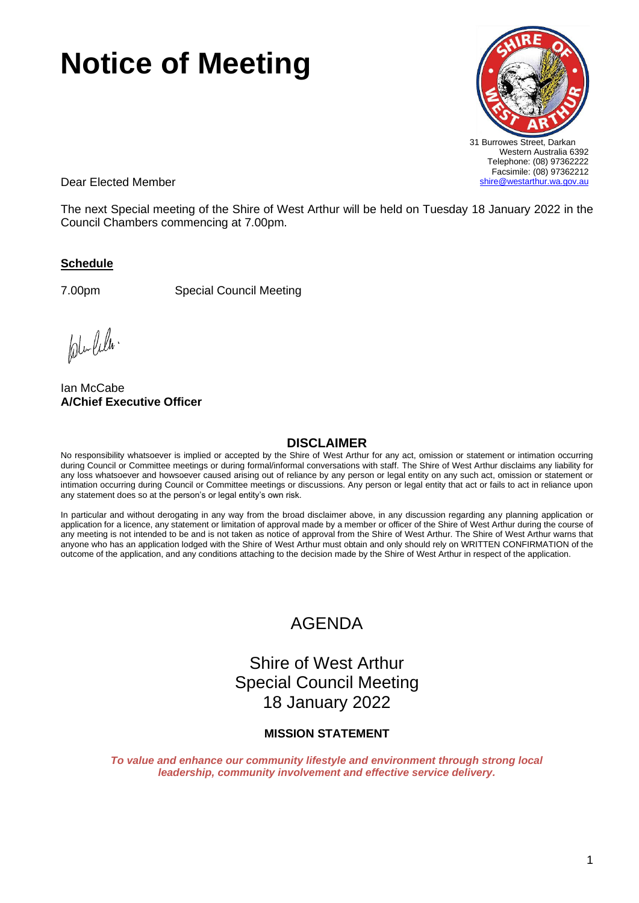# **Notice of Meeting**



Dear Elected Member

The next Special meeting of the Shire of West Arthur will be held on Tuesday 18 January 2022 in the Council Chambers commencing at 7.00pm.

# **Schedule**

7.00pm Special Council Meeting

ple-lela.

Ian McCabe **A/Chief Executive Officer**

# **DISCLAIMER**

No responsibility whatsoever is implied or accepted by the Shire of West Arthur for any act, omission or statement or intimation occurring during Council or Committee meetings or during formal/informal conversations with staff. The Shire of West Arthur disclaims any liability for any loss whatsoever and howsoever caused arising out of reliance by any person or legal entity on any such act, omission or statement or intimation occurring during Council or Committee meetings or discussions. Any person or legal entity that act or fails to act in reliance upon any statement does so at the person's or legal entity's own risk.

In particular and without derogating in any way from the broad disclaimer above, in any discussion regarding any planning application or application for a licence, any statement or limitation of approval made by a member or officer of the Shire of West Arthur during the course of any meeting is not intended to be and is not taken as notice of approval from the Shire of West Arthur. The Shire of West Arthur warns that anyone who has an application lodged with the Shire of West Arthur must obtain and only should rely on WRITTEN CONFIRMATION of the outcome of the application, and any conditions attaching to the decision made by the Shire of West Arthur in respect of the application.

# AGENDA

Shire of West Arthur Special Council Meeting 18 January 2022

# **MISSION STATEMENT**

*To value and enhance our community lifestyle and environment through strong local leadership, community involvement and effective service delivery.*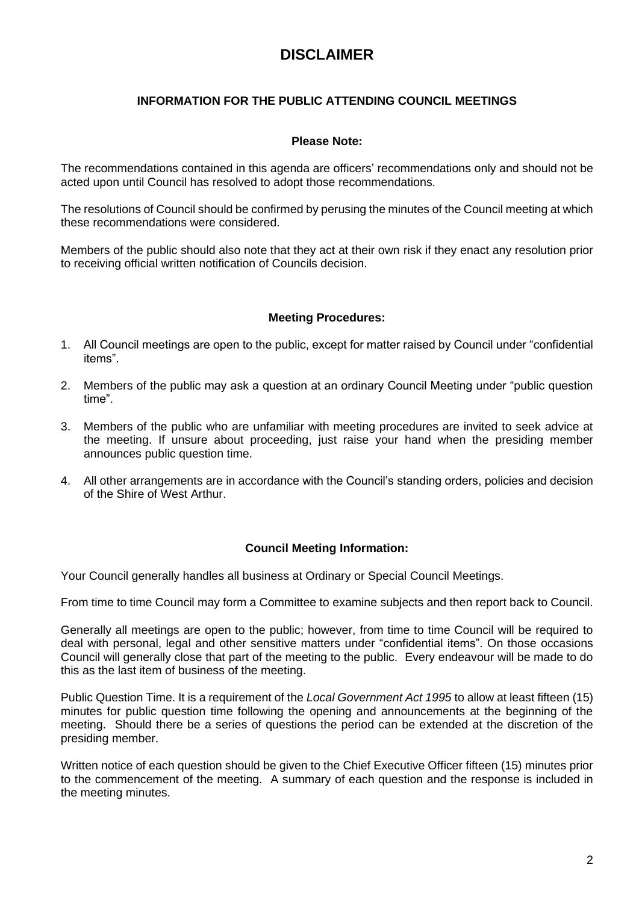# **DISCLAIMER**

# **INFORMATION FOR THE PUBLIC ATTENDING COUNCIL MEETINGS**

# **Please Note:**

The recommendations contained in this agenda are officers' recommendations only and should not be acted upon until Council has resolved to adopt those recommendations.

The resolutions of Council should be confirmed by perusing the minutes of the Council meeting at which these recommendations were considered.

Members of the public should also note that they act at their own risk if they enact any resolution prior to receiving official written notification of Councils decision.

# **Meeting Procedures:**

- 1. All Council meetings are open to the public, except for matter raised by Council under "confidential items".
- 2. Members of the public may ask a question at an ordinary Council Meeting under "public question time".
- 3. Members of the public who are unfamiliar with meeting procedures are invited to seek advice at the meeting. If unsure about proceeding, just raise your hand when the presiding member announces public question time.
- 4. All other arrangements are in accordance with the Council's standing orders, policies and decision of the Shire of West Arthur.

# **Council Meeting Information:**

Your Council generally handles all business at Ordinary or Special Council Meetings.

From time to time Council may form a Committee to examine subjects and then report back to Council.

Generally all meetings are open to the public; however, from time to time Council will be required to deal with personal, legal and other sensitive matters under "confidential items". On those occasions Council will generally close that part of the meeting to the public. Every endeavour will be made to do this as the last item of business of the meeting.

Public Question Time. It is a requirement of the *Local Government Act 1995* to allow at least fifteen (15) minutes for public question time following the opening and announcements at the beginning of the meeting. Should there be a series of questions the period can be extended at the discretion of the presiding member.

Written notice of each question should be given to the Chief Executive Officer fifteen (15) minutes prior to the commencement of the meeting. A summary of each question and the response is included in the meeting minutes.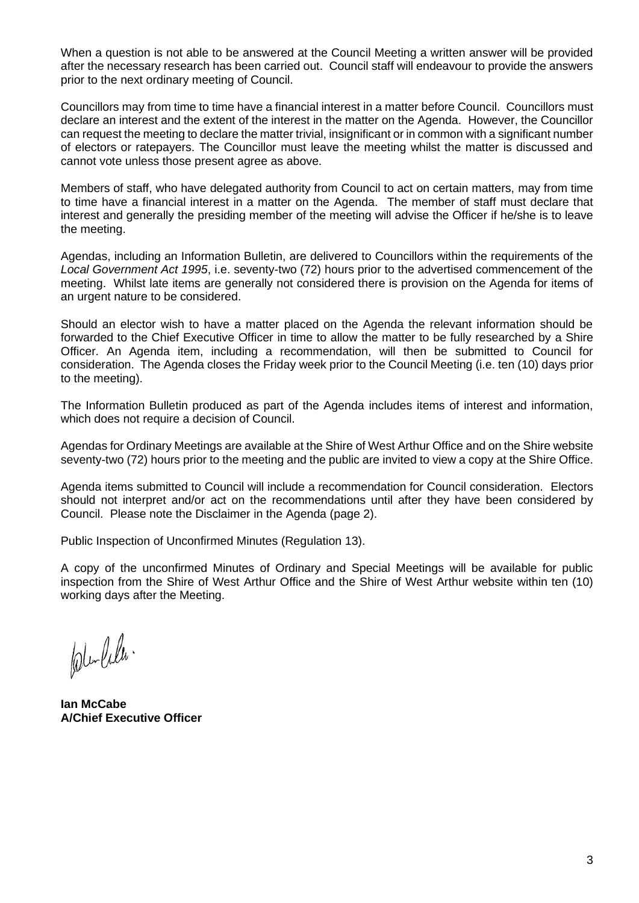When a question is not able to be answered at the Council Meeting a written answer will be provided after the necessary research has been carried out. Council staff will endeavour to provide the answers prior to the next ordinary meeting of Council.

Councillors may from time to time have a financial interest in a matter before Council. Councillors must declare an interest and the extent of the interest in the matter on the Agenda. However, the Councillor can request the meeting to declare the matter trivial, insignificant or in common with a significant number of electors or ratepayers. The Councillor must leave the meeting whilst the matter is discussed and cannot vote unless those present agree as above.

Members of staff, who have delegated authority from Council to act on certain matters, may from time to time have a financial interest in a matter on the Agenda. The member of staff must declare that interest and generally the presiding member of the meeting will advise the Officer if he/she is to leave the meeting.

Agendas, including an Information Bulletin, are delivered to Councillors within the requirements of the *Local Government Act 1995*, i.e. seventy-two (72) hours prior to the advertised commencement of the meeting. Whilst late items are generally not considered there is provision on the Agenda for items of an urgent nature to be considered.

Should an elector wish to have a matter placed on the Agenda the relevant information should be forwarded to the Chief Executive Officer in time to allow the matter to be fully researched by a Shire Officer. An Agenda item, including a recommendation, will then be submitted to Council for consideration. The Agenda closes the Friday week prior to the Council Meeting (i.e. ten (10) days prior to the meeting).

The Information Bulletin produced as part of the Agenda includes items of interest and information, which does not require a decision of Council.

Agendas for Ordinary Meetings are available at the Shire of West Arthur Office and on the Shire website seventy-two (72) hours prior to the meeting and the public are invited to view a copy at the Shire Office.

Agenda items submitted to Council will include a recommendation for Council consideration. Electors should not interpret and/or act on the recommendations until after they have been considered by Council. Please note the Disclaimer in the Agenda (page 2).

Public Inspection of Unconfirmed Minutes (Regulation 13).

A copy of the unconfirmed Minutes of Ordinary and Special Meetings will be available for public inspection from the Shire of West Arthur Office and the Shire of West Arthur website within ten (10) working days after the Meeting.

ple-lela.

**Ian McCabe A/Chief Executive Officer**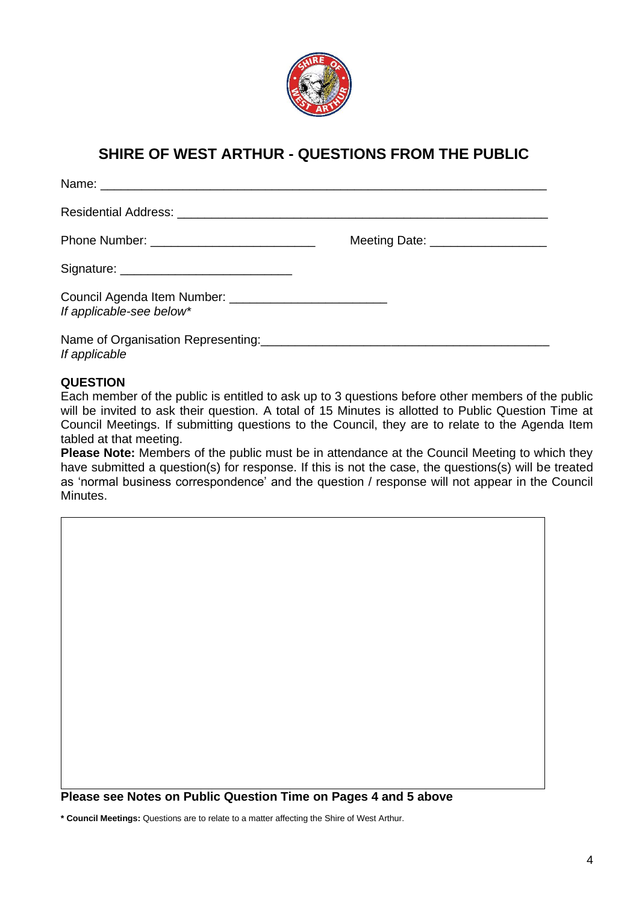

# **SHIRE OF WEST ARTHUR - QUESTIONS FROM THE PUBLIC**

| Name: Name: Name: Name: Name: Name: Name: Name: Name: Name: Name: Name: Name: Name: Name: Name: Name: Name: Name: Name: Name: Name: Name: Name: Name: Name: Name: Name: Name: Name: Name: Name: Name: Name: Name: Name: Name: |                                   |
|-------------------------------------------------------------------------------------------------------------------------------------------------------------------------------------------------------------------------------|-----------------------------------|
|                                                                                                                                                                                                                               |                                   |
|                                                                                                                                                                                                                               | Meeting Date: ___________________ |
| Signature: __________________________________                                                                                                                                                                                 |                                   |
| If applicable-see below*                                                                                                                                                                                                      |                                   |
| If applicable                                                                                                                                                                                                                 |                                   |

# **QUESTION**

Each member of the public is entitled to ask up to 3 questions before other members of the public will be invited to ask their question. A total of 15 Minutes is allotted to Public Question Time at Council Meetings. If submitting questions to the Council, they are to relate to the Agenda Item tabled at that meeting.

**Please Note:** Members of the public must be in attendance at the Council Meeting to which they have submitted a question(s) for response. If this is not the case, the questions(s) will be treated as 'normal business correspondence' and the question / response will not appear in the Council Minutes.

**Please see Notes on Public Question Time on Pages 4 and 5 above**

**\* Council Meetings:** Questions are to relate to a matter affecting the Shire of West Arthur.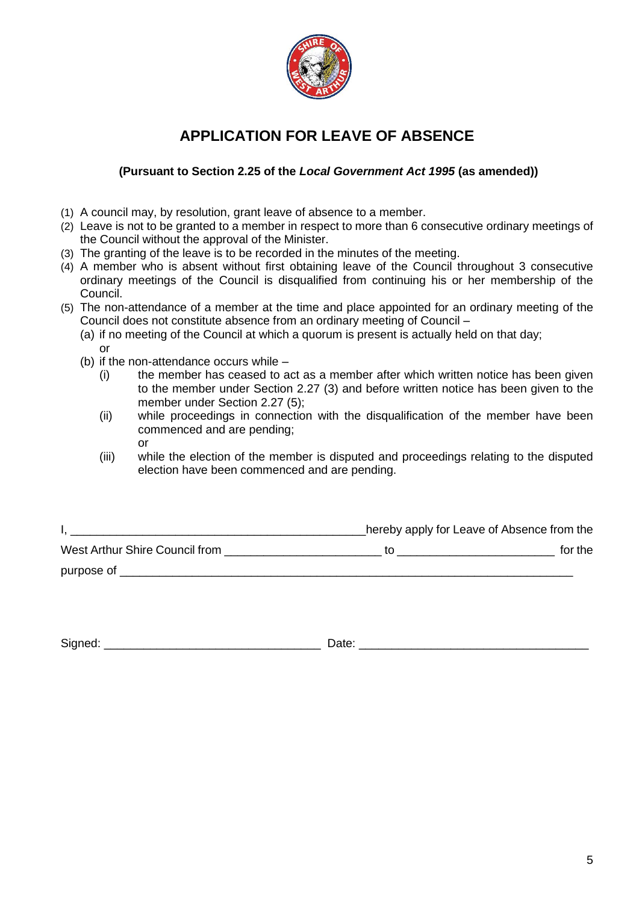

# **APPLICATION FOR LEAVE OF ABSENCE**

# **(Pursuant to Section 2.25 of the** *Local Government Act 1995* **(as amended))**

- (1) A council may, by resolution, grant leave of absence to a member.
- (2) Leave is not to be granted to a member in respect to more than 6 consecutive ordinary meetings of the Council without the approval of the Minister.
- (3) The granting of the leave is to be recorded in the minutes of the meeting.
- (4) A member who is absent without first obtaining leave of the Council throughout 3 consecutive ordinary meetings of the Council is disqualified from continuing his or her membership of the Council.
- (5) The non-attendance of a member at the time and place appointed for an ordinary meeting of the Council does not constitute absence from an ordinary meeting of Council –
	- (a) if no meeting of the Council at which a quorum is present is actually held on that day; or
	- (b) if the non-attendance occurs while
		- (i) the member has ceased to act as a member after which written notice has been given to the member under Section 2.27 (3) and before written notice has been given to the member under Section 2.27 (5);
		- (ii) while proceedings in connection with the disqualification of the member have been commenced and are pending; or
		- (iii) while the election of the member is disputed and proceedings relating to the disputed election have been commenced and are pending.

|                                | hereby apply for Leave of Absence from the |
|--------------------------------|--------------------------------------------|
| West Arthur Shire Council from | for the                                    |
| purpose of                     |                                            |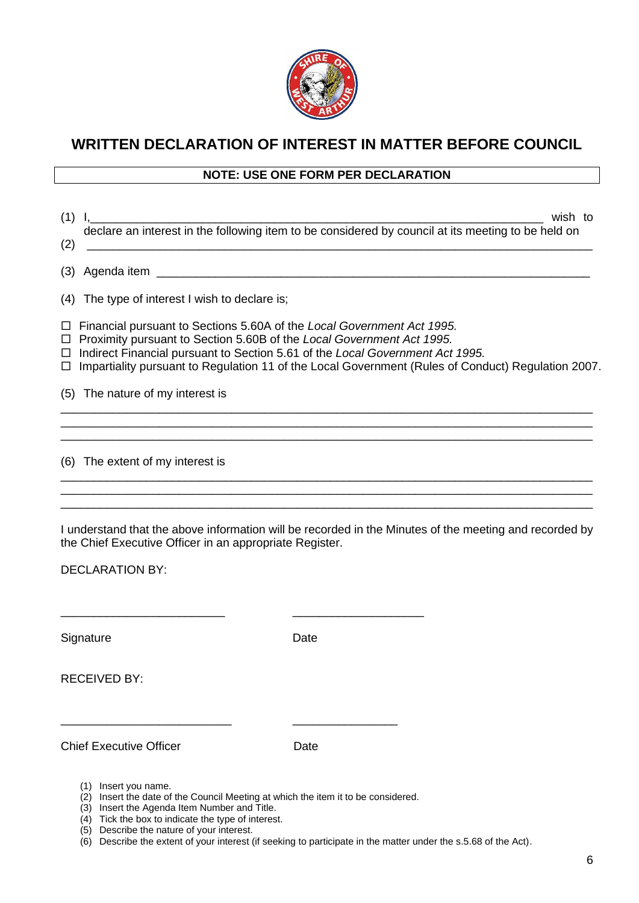

# **WRITTEN DECLARATION OF INTEREST IN MATTER BEFORE COUNCIL**

# **NOTE: USE ONE FORM PER DECLARATION**

| (1)                        | wish to<br>$\mathbf{I}$<br>declare an interest in the following item to be considered by council at its meeting to be held on                                                                                                                                                                                                          |
|----------------------------|----------------------------------------------------------------------------------------------------------------------------------------------------------------------------------------------------------------------------------------------------------------------------------------------------------------------------------------|
| (2)                        |                                                                                                                                                                                                                                                                                                                                        |
| (3)                        |                                                                                                                                                                                                                                                                                                                                        |
| (4)                        | The type of interest I wish to declare is;                                                                                                                                                                                                                                                                                             |
| □<br>$\Box$<br>$\Box$<br>□ | Financial pursuant to Sections 5.60A of the Local Government Act 1995.<br>Proximity pursuant to Section 5.60B of the Local Government Act 1995.<br>Indirect Financial pursuant to Section 5.61 of the Local Government Act 1995.<br>Impartiality pursuant to Regulation 11 of the Local Government (Rules of Conduct) Regulation 2007. |
|                            | (5) The nature of my interest is                                                                                                                                                                                                                                                                                                       |
|                            |                                                                                                                                                                                                                                                                                                                                        |
|                            | (6) The extent of my interest is                                                                                                                                                                                                                                                                                                       |
|                            | I understand that the above information will be recorded in the Minutes of the meeting and recorded by<br>the Chief Executive Officer in an appropriate Register.                                                                                                                                                                      |
|                            | <b>DECLARATION BY:</b>                                                                                                                                                                                                                                                                                                                 |
|                            |                                                                                                                                                                                                                                                                                                                                        |
|                            | Signature<br>Date                                                                                                                                                                                                                                                                                                                      |

RECEIVED BY:

Chief Executive Officer **Date** 

- (1) Insert you name.
- (2) Insert the date of the Council Meeting at which the item it to be considered.

\_\_\_\_\_\_\_\_\_\_\_\_\_\_\_\_\_\_\_\_\_\_\_\_\_\_ \_\_\_\_\_\_\_\_\_\_\_\_\_\_\_\_

- (3) Insert the Agenda Item Number and Title.
- (4) Tick the box to indicate the type of interest. (5) Describe the nature of your interest.
- (6) Describe the extent of your interest (if seeking to participate in the matter under the s.5.68 of the Act).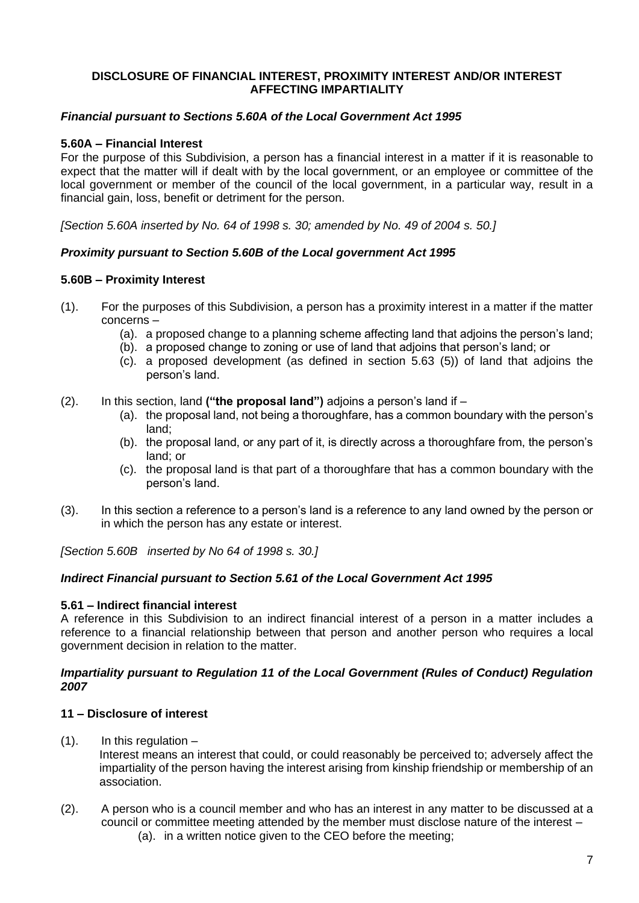# **DISCLOSURE OF FINANCIAL INTEREST, PROXIMITY INTEREST AND/OR INTEREST AFFECTING IMPARTIALITY**

# *Financial pursuant to Sections 5.60A of the Local Government Act 1995*

# **5.60A – Financial Interest**

For the purpose of this Subdivision, a person has a financial interest in a matter if it is reasonable to expect that the matter will if dealt with by the local government, or an employee or committee of the local government or member of the council of the local government, in a particular way, result in a financial gain, loss, benefit or detriment for the person.

*[Section 5.60A inserted by No. 64 of 1998 s. 30; amended by No. 49 of 2004 s. 50.]*

#### *Proximity pursuant to Section 5.60B of the Local government Act 1995*

#### **5.60B – Proximity Interest**

- (1). For the purposes of this Subdivision, a person has a proximity interest in a matter if the matter concerns –
	- (a). a proposed change to a planning scheme affecting land that adjoins the person's land;
	- (b). a proposed change to zoning or use of land that adjoins that person's land; or
	- (c). a proposed development (as defined in section 5.63 (5)) of land that adjoins the person's land.
- (2). In this section, land **("the proposal land")** adjoins a person's land if
	- (a). the proposal land, not being a thoroughfare, has a common boundary with the person's land;
	- (b). the proposal land, or any part of it, is directly across a thoroughfare from, the person's land; or
	- (c). the proposal land is that part of a thoroughfare that has a common boundary with the person's land.
- (3). In this section a reference to a person's land is a reference to any land owned by the person or in which the person has any estate or interest.

*[Section 5.60B inserted by No 64 of 1998 s. 30.]*

#### *Indirect Financial pursuant to Section 5.61 of the Local Government Act 1995*

#### **5.61 – Indirect financial interest**

A reference in this Subdivision to an indirect financial interest of a person in a matter includes a reference to a financial relationship between that person and another person who requires a local government decision in relation to the matter.

#### *Impartiality pursuant to Regulation 11 of the Local Government (Rules of Conduct) Regulation 2007*

#### **11 – Disclosure of interest**

 $(1)$ . In this regulation  $-$ 

Interest means an interest that could, or could reasonably be perceived to; adversely affect the impartiality of the person having the interest arising from kinship friendship or membership of an association.

(2). A person who is a council member and who has an interest in any matter to be discussed at a council or committee meeting attended by the member must disclose nature of the interest – (a). in a written notice given to the CEO before the meeting;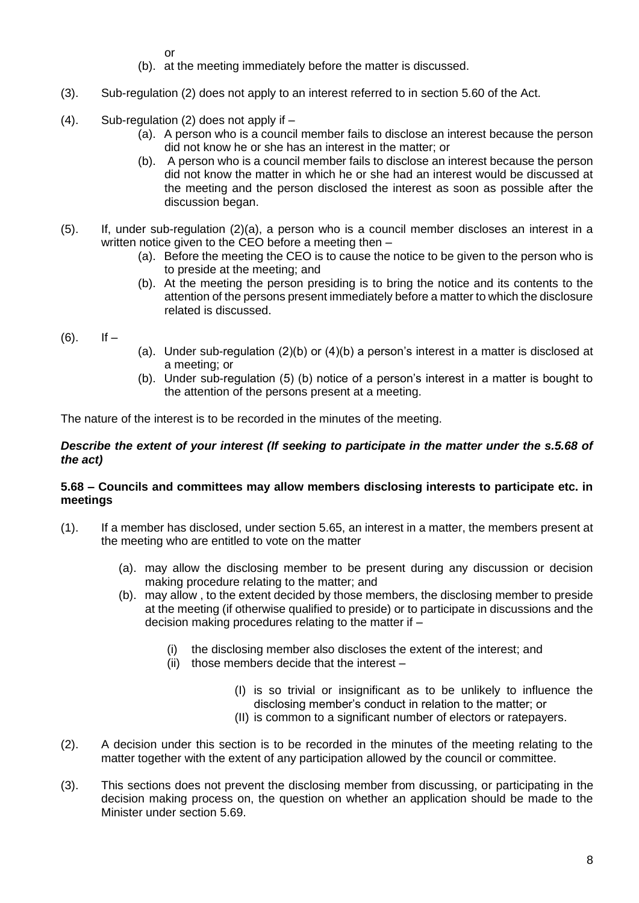or

- (b). at the meeting immediately before the matter is discussed.
- (3). Sub-regulation (2) does not apply to an interest referred to in section 5.60 of the Act.
- $(4)$ . Sub-regulation  $(2)$  does not apply if  $-$ 
	- (a). A person who is a council member fails to disclose an interest because the person did not know he or she has an interest in the matter; or
	- (b). A person who is a council member fails to disclose an interest because the person did not know the matter in which he or she had an interest would be discussed at the meeting and the person disclosed the interest as soon as possible after the discussion began.
- (5). If, under sub-regulation (2)(a), a person who is a council member discloses an interest in a written notice given to the CEO before a meeting then –
	- (a). Before the meeting the CEO is to cause the notice to be given to the person who is to preside at the meeting; and
	- (b). At the meeting the person presiding is to bring the notice and its contents to the attention of the persons present immediately before a matter to which the disclosure related is discussed.
- $(6)$ . If  $-$
- (a). Under sub-regulation  $(2)(b)$  or  $(4)(b)$  a person's interest in a matter is disclosed at a meeting; or
- (b). Under sub-regulation (5) (b) notice of a person's interest in a matter is bought to the attention of the persons present at a meeting.

The nature of the interest is to be recorded in the minutes of the meeting.

# *Describe the extent of your interest (If seeking to participate in the matter under the s.5.68 of the act)*

#### **5.68 – Councils and committees may allow members disclosing interests to participate etc. in meetings**

- (1). If a member has disclosed, under section 5.65, an interest in a matter, the members present at the meeting who are entitled to vote on the matter
	- (a). may allow the disclosing member to be present during any discussion or decision making procedure relating to the matter; and
	- (b). may allow , to the extent decided by those members, the disclosing member to preside at the meeting (if otherwise qualified to preside) or to participate in discussions and the decision making procedures relating to the matter if –
		- (i) the disclosing member also discloses the extent of the interest; and
		- $(ii)$  those members decide that the interest
			- (I) is so trivial or insignificant as to be unlikely to influence the disclosing member's conduct in relation to the matter; or
			- (II) is common to a significant number of electors or ratepayers.
- (2). A decision under this section is to be recorded in the minutes of the meeting relating to the matter together with the extent of any participation allowed by the council or committee.
- (3). This sections does not prevent the disclosing member from discussing, or participating in the decision making process on, the question on whether an application should be made to the Minister under section 5.69.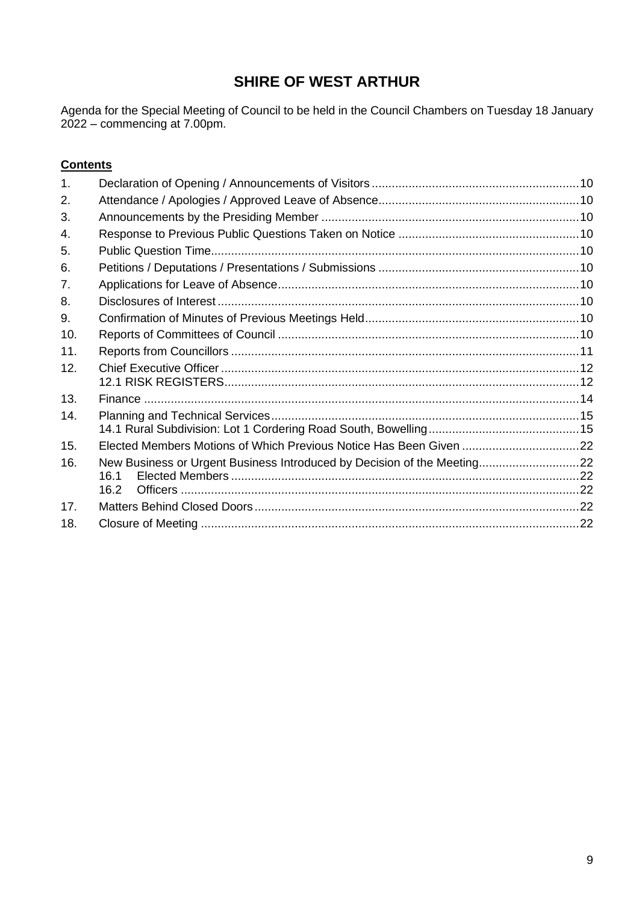# **SHIRE OF WEST ARTHUR**

Agenda for the Special Meeting of Council to be held in the Council Chambers on Tuesday 18 January 2022 – commencing at 7.00pm.

# **Contents**

| 1.  |                                                                         |  |
|-----|-------------------------------------------------------------------------|--|
| 2.  |                                                                         |  |
| 3.  |                                                                         |  |
| 4.  |                                                                         |  |
| 5.  |                                                                         |  |
| 6.  |                                                                         |  |
| 7.  |                                                                         |  |
| 8.  |                                                                         |  |
| 9.  |                                                                         |  |
| 10. |                                                                         |  |
| 11. |                                                                         |  |
| 12. |                                                                         |  |
|     |                                                                         |  |
| 13. |                                                                         |  |
| 14. |                                                                         |  |
|     |                                                                         |  |
| 15. | Elected Members Motions of Which Previous Notice Has Been Given 22      |  |
| 16. | New Business or Urgent Business Introduced by Decision of the Meeting22 |  |
|     | 16.1                                                                    |  |
|     | 16.2                                                                    |  |
| 17. |                                                                         |  |
| 18. |                                                                         |  |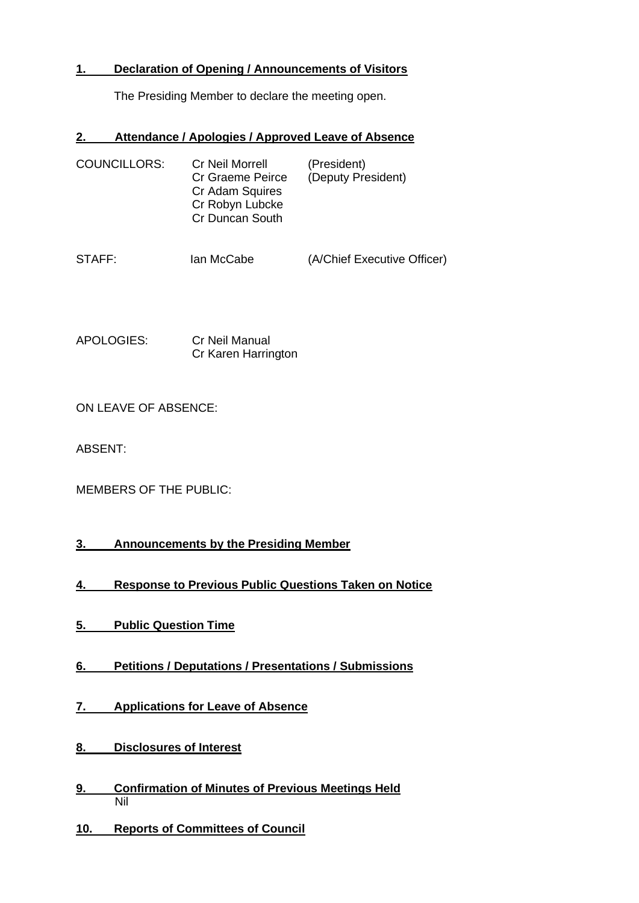# <span id="page-9-0"></span>**1. Declaration of Opening / Announcements of Visitors**

The Presiding Member to declare the meeting open.

# <span id="page-9-1"></span>**2. Attendance / Apologies / Approved Leave of Absence**

| <b>COUNCILLORS:</b> | Cr Neil Morrell<br>Cr Graeme Peirce<br>Cr Adam Squires<br>Cr Robyn Lubcke<br>Cr Duncan South | (President)<br>(Deputy President) |
|---------------------|----------------------------------------------------------------------------------------------|-----------------------------------|
| STAFF:              | lan McCabe                                                                                   | (A/Chief Executive Officer)       |

APOLOGIES: Cr Neil Manual Cr Karen Harrington

ON LEAVE OF ABSENCE:

ABSENT:

| <b>MEMBERS OF THE PUBLIC:</b> |
|-------------------------------|
|-------------------------------|

# <span id="page-9-2"></span>**3. Announcements by the Presiding Member**

- <span id="page-9-3"></span>**4. Response to Previous Public Questions Taken on Notice**
- <span id="page-9-4"></span>**5. Public Question Time**
- <span id="page-9-5"></span>**6. Petitions / Deputations / Presentations / Submissions**
- <span id="page-9-6"></span>**7. Applications for Leave of Absence**
- <span id="page-9-7"></span>**8. Disclosures of Interest**
- <span id="page-9-8"></span>**9. Confirmation of Minutes of Previous Meetings Held**  Nil
- <span id="page-9-9"></span>**10. Reports of Committees of Council**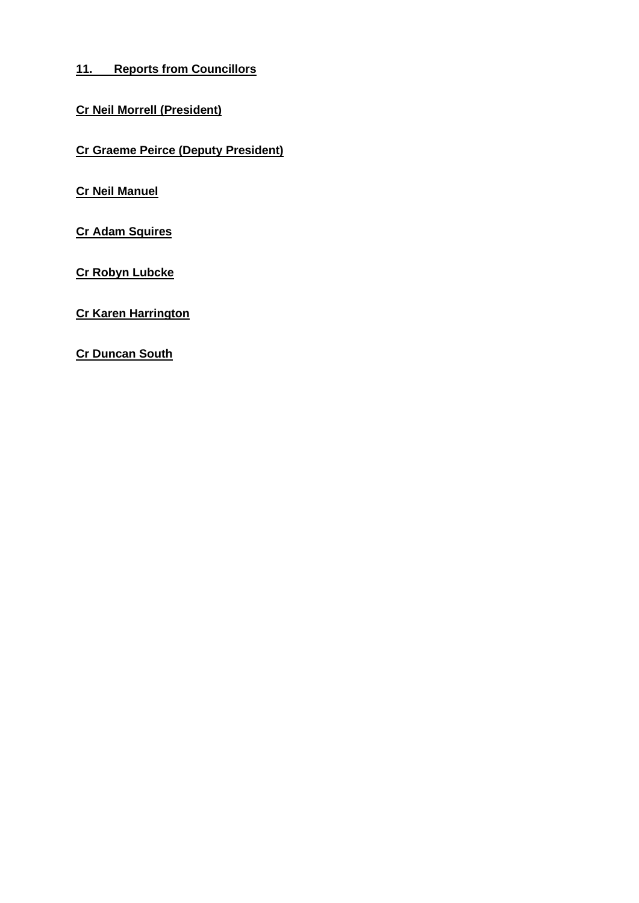# <span id="page-10-0"></span>**11. Reports from Councillors**

# **Cr Neil Morrell (President)**

**Cr Graeme Peirce (Deputy President)**

**Cr Neil Manuel**

**Cr Adam Squires**

**Cr Robyn Lubcke**

**Cr Karen Harrington**

**Cr Duncan South**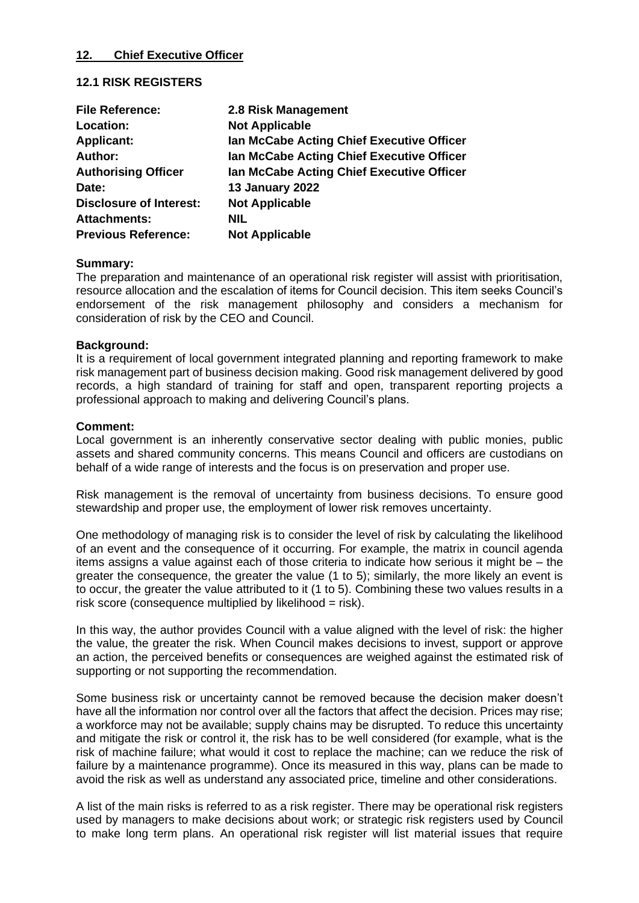#### <span id="page-11-0"></span>**12. Chief Executive Officer**

#### <span id="page-11-1"></span>**12.1 RISK REGISTERS**

| <b>File Reference:</b>         | 2.8 Risk Management                       |
|--------------------------------|-------------------------------------------|
| Location:                      | <b>Not Applicable</b>                     |
| <b>Applicant:</b>              | Ian McCabe Acting Chief Executive Officer |
| Author:                        | Ian McCabe Acting Chief Executive Officer |
| <b>Authorising Officer</b>     | Ian McCabe Acting Chief Executive Officer |
| Date:                          | <b>13 January 2022</b>                    |
| <b>Disclosure of Interest:</b> | <b>Not Applicable</b>                     |
| <b>Attachments:</b>            | <b>NIL</b>                                |
| <b>Previous Reference:</b>     | <b>Not Applicable</b>                     |

#### **Summary:**

The preparation and maintenance of an operational risk register will assist with prioritisation, resource allocation and the escalation of items for Council decision. This item seeks Council's endorsement of the risk management philosophy and considers a mechanism for consideration of risk by the CEO and Council.

#### **Background:**

It is a requirement of local government integrated planning and reporting framework to make risk management part of business decision making. Good risk management delivered by good records, a high standard of training for staff and open, transparent reporting projects a professional approach to making and delivering Council's plans.

#### **Comment:**

Local government is an inherently conservative sector dealing with public monies, public assets and shared community concerns. This means Council and officers are custodians on behalf of a wide range of interests and the focus is on preservation and proper use.

Risk management is the removal of uncertainty from business decisions. To ensure good stewardship and proper use, the employment of lower risk removes uncertainty.

One methodology of managing risk is to consider the level of risk by calculating the likelihood of an event and the consequence of it occurring. For example, the matrix in council agenda items assigns a value against each of those criteria to indicate how serious it might be – the greater the consequence, the greater the value (1 to 5); similarly, the more likely an event is to occur, the greater the value attributed to it (1 to 5). Combining these two values results in a risk score (consequence multiplied by likelihood  $=$  risk).

In this way, the author provides Council with a value aligned with the level of risk: the higher the value, the greater the risk. When Council makes decisions to invest, support or approve an action, the perceived benefits or consequences are weighed against the estimated risk of supporting or not supporting the recommendation.

Some business risk or uncertainty cannot be removed because the decision maker doesn't have all the information nor control over all the factors that affect the decision. Prices may rise; a workforce may not be available; supply chains may be disrupted. To reduce this uncertainty and mitigate the risk or control it, the risk has to be well considered (for example, what is the risk of machine failure; what would it cost to replace the machine; can we reduce the risk of failure by a maintenance programme). Once its measured in this way, plans can be made to avoid the risk as well as understand any associated price, timeline and other considerations.

A list of the main risks is referred to as a risk register. There may be operational risk registers used by managers to make decisions about work; or strategic risk registers used by Council to make long term plans. An operational risk register will list material issues that require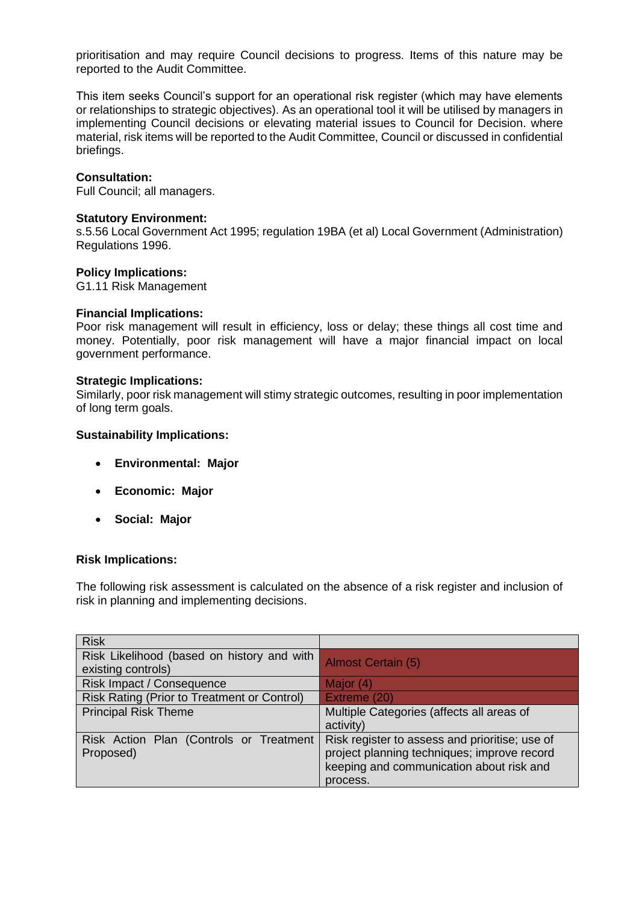prioritisation and may require Council decisions to progress. Items of this nature may be reported to the Audit Committee.

This item seeks Council's support for an operational risk register (which may have elements or relationships to strategic objectives). As an operational tool it will be utilised by managers in implementing Council decisions or elevating material issues to Council for Decision. where material, risk items will be reported to the Audit Committee, Council or discussed in confidential briefings.

#### **Consultation:**

Full Council; all managers.

#### **Statutory Environment:**

s.5.56 Local Government Act 1995; regulation 19BA (et al) Local Government (Administration) Regulations 1996.

#### **Policy Implications:**

G1.11 Risk Management

#### **Financial Implications:**

Poor risk management will result in efficiency, loss or delay; these things all cost time and money. Potentially, poor risk management will have a major financial impact on local government performance.

#### **Strategic Implications:**

Similarly, poor risk management will stimy strategic outcomes, resulting in poor implementation of long term goals.

#### **Sustainability Implications:**

- **Environmental: Major**
- **Economic: Major**
- **Social: Major**

#### **Risk Implications:**

The following risk assessment is calculated on the absence of a risk register and inclusion of risk in planning and implementing decisions.

| <b>Risk</b>                                                      |                                                                                                                                                       |
|------------------------------------------------------------------|-------------------------------------------------------------------------------------------------------------------------------------------------------|
| Risk Likelihood (based on history and with<br>existing controls) | <b>Almost Certain (5)</b>                                                                                                                             |
| Risk Impact / Consequence                                        | Major (4)                                                                                                                                             |
| Risk Rating (Prior to Treatment or Control)                      | Extreme (20)                                                                                                                                          |
| <b>Principal Risk Theme</b>                                      | Multiple Categories (affects all areas of<br>activity)                                                                                                |
| Risk Action Plan (Controls or Treatment<br>Proposed)             | Risk register to assess and prioritise; use of<br>project planning techniques; improve record<br>keeping and communication about risk and<br>process. |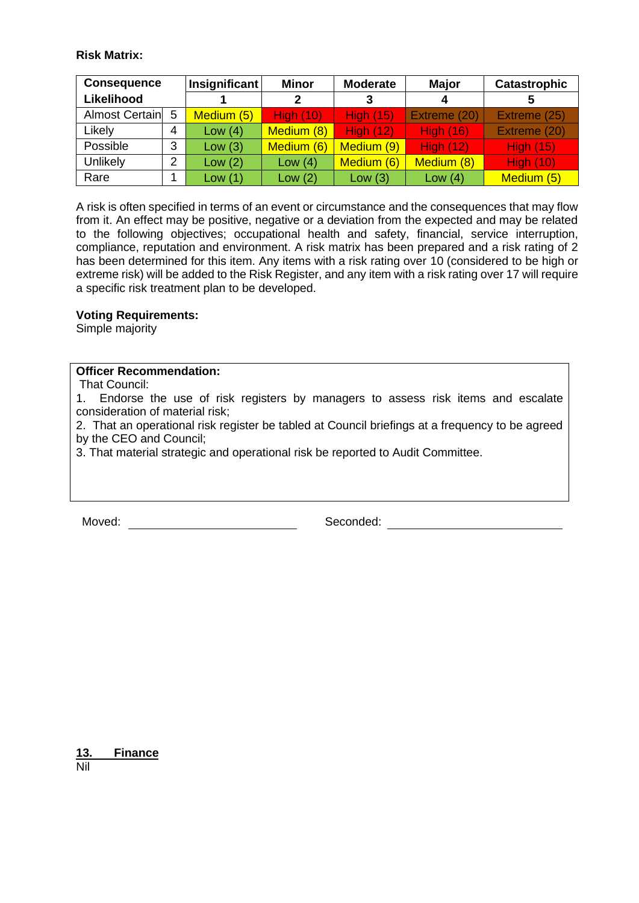# **Risk Matrix:**

| <b>Consequence</b> |   | <b>Insignificant</b> | <b>Minor</b>     | <b>Moderate</b>  | <b>Major</b>     | <b>Catastrophic</b> |
|--------------------|---|----------------------|------------------|------------------|------------------|---------------------|
| Likelihood         |   |                      | 2                | 3                |                  |                     |
| Almost Certain 5   |   | Medium (5)           | <b>High (10)</b> | <b>High (15)</b> | Extreme (20)     | Extreme (25)        |
| Likely             | 4 | Low $(4)$            | Medium (8)       | <b>High (12)</b> | <b>High (16)</b> | Extreme (20)        |
| Possible           | 3 | Low(3)               | Medium (6)       | Medium (9)       | <b>High (12)</b> | <b>High (15)</b>    |
| Unlikely           | 2 | Low $(2)$            | Low $(4)$        | Medium (6)       | Medium (8)       | <b>High (10)</b>    |
| Rare               |   | Low(1)               | Low $(2)$        | Low(3)           | Low $(4)$        | Medium (5)          |

A risk is often specified in terms of an event or circumstance and the consequences that may flow from it. An effect may be positive, negative or a deviation from the expected and may be related to the following objectives; occupational health and safety, financial, service interruption, compliance, reputation and environment. A risk matrix has been prepared and a risk rating of 2 has been determined for this item. Any items with a risk rating over 10 (considered to be high or extreme risk) will be added to the Risk Register, and any item with a risk rating over 17 will require a specific risk treatment plan to be developed.

#### **Voting Requirements:**

Simple majority

# **Officer Recommendation:**

That Council:

1. Endorse the use of risk registers by managers to assess risk items and escalate consideration of material risk;

2. That an operational risk register be tabled at Council briefings at a frequency to be agreed by the CEO and Council;

3. That material strategic and operational risk be reported to Audit Committee.

Moved: Seconded: Seconded: Seconded: Seconded: Seconded: Seconded: Seconded: Seconded: Seconded: Seconded: Seconded: Seconded: Seconded: Seconded: Seconded: Seconded: Seconded: Seconded: Seconded: Seconded: Seconded: Secon

<span id="page-13-0"></span>**13. Finance** Nil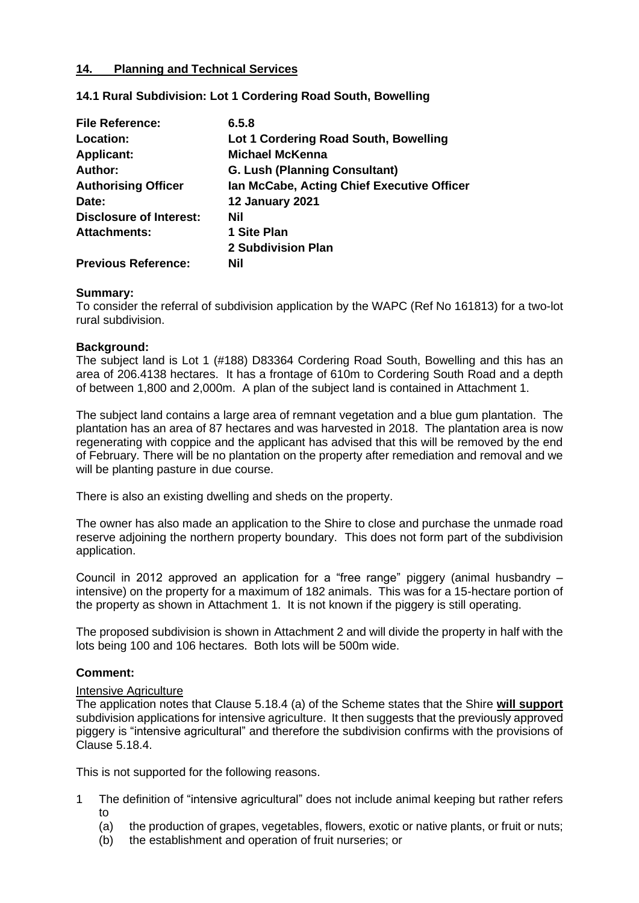# <span id="page-14-0"></span>**14. Planning and Technical Services**

# <span id="page-14-1"></span>**14.1 Rural Subdivision: Lot 1 Cordering Road South, Bowelling**

| <b>File Reference:</b>         | 6.5.8                                      |
|--------------------------------|--------------------------------------------|
| Location:                      | Lot 1 Cordering Road South, Bowelling      |
| <b>Applicant:</b>              | <b>Michael McKenna</b>                     |
| Author:                        | <b>G. Lush (Planning Consultant)</b>       |
| <b>Authorising Officer</b>     | Ian McCabe, Acting Chief Executive Officer |
| Date:                          | <b>12 January 2021</b>                     |
| <b>Disclosure of Interest:</b> | Nil                                        |
| <b>Attachments:</b>            | 1 Site Plan                                |
|                                | 2 Subdivision Plan                         |
| <b>Previous Reference:</b>     | Nil                                        |

#### **Summary:**

To consider the referral of subdivision application by the WAPC (Ref No 161813) for a two-lot rural subdivision.

#### **Background:**

The subject land is Lot 1 (#188) D83364 Cordering Road South, Bowelling and this has an area of 206.4138 hectares. It has a frontage of 610m to Cordering South Road and a depth of between 1,800 and 2,000m. A plan of the subject land is contained in Attachment 1.

The subject land contains a large area of remnant vegetation and a blue gum plantation. The plantation has an area of 87 hectares and was harvested in 2018. The plantation area is now regenerating with coppice and the applicant has advised that this will be removed by the end of February. There will be no plantation on the property after remediation and removal and we will be planting pasture in due course.

There is also an existing dwelling and sheds on the property.

The owner has also made an application to the Shire to close and purchase the unmade road reserve adjoining the northern property boundary. This does not form part of the subdivision application.

Council in 2012 approved an application for a "free range" piggery (animal husbandry – intensive) on the property for a maximum of 182 animals. This was for a 15-hectare portion of the property as shown in Attachment 1. It is not known if the piggery is still operating.

The proposed subdivision is shown in Attachment 2 and will divide the property in half with the lots being 100 and 106 hectares. Both lots will be 500m wide.

#### **Comment:**

# Intensive Agriculture

The application notes that Clause 5.18.4 (a) of the Scheme states that the Shire **will support** subdivision applications for intensive agriculture. It then suggests that the previously approved piggery is "intensive agricultural" and therefore the subdivision confirms with the provisions of Clause 5.18.4.

This is not supported for the following reasons.

- 1 The definition of "intensive agricultural" does not include animal keeping but rather refers to
	- (a) the production of grapes, vegetables, flowers, exotic or native plants, or fruit or nuts;
	- (b) the establishment and operation of fruit nurseries; or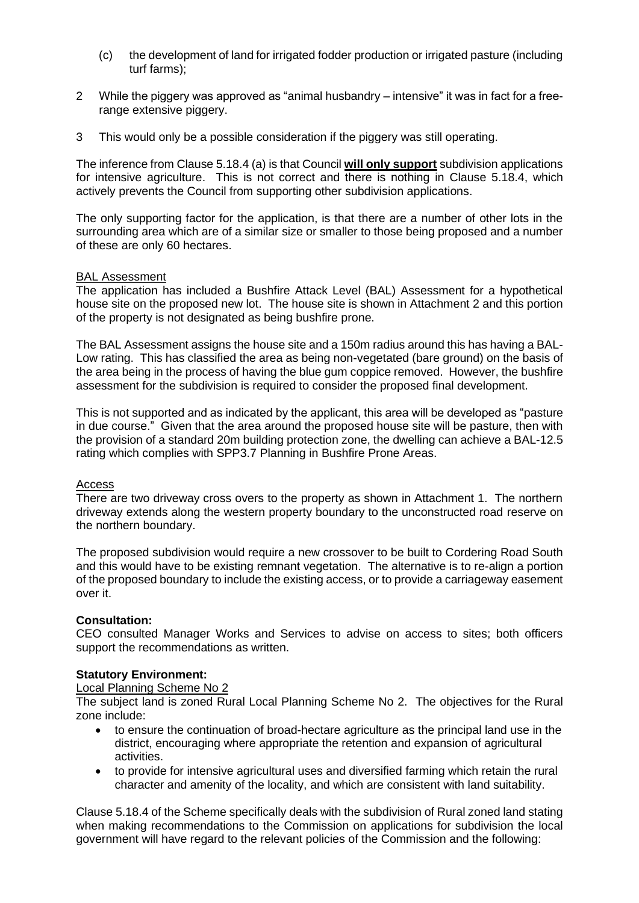- (c) the development of land for irrigated fodder production or irrigated pasture (including turf farms);
- 2 While the piggery was approved as "animal husbandry intensive" it was in fact for a freerange extensive piggery.
- 3 This would only be a possible consideration if the piggery was still operating.

The inference from Clause 5.18.4 (a) is that Council **will only support** subdivision applications for intensive agriculture. This is not correct and there is nothing in Clause 5.18.4, which actively prevents the Council from supporting other subdivision applications.

The only supporting factor for the application, is that there are a number of other lots in the surrounding area which are of a similar size or smaller to those being proposed and a number of these are only 60 hectares.

#### BAL Assessment

The application has included a Bushfire Attack Level (BAL) Assessment for a hypothetical house site on the proposed new lot. The house site is shown in Attachment 2 and this portion of the property is not designated as being bushfire prone.

The BAL Assessment assigns the house site and a 150m radius around this has having a BAL-Low rating. This has classified the area as being non-vegetated (bare ground) on the basis of the area being in the process of having the blue gum coppice removed. However, the bushfire assessment for the subdivision is required to consider the proposed final development.

This is not supported and as indicated by the applicant, this area will be developed as "pasture in due course." Given that the area around the proposed house site will be pasture, then with the provision of a standard 20m building protection zone, the dwelling can achieve a BAL-12.5 rating which complies with SPP3.7 Planning in Bushfire Prone Areas.

#### Access

There are two driveway cross overs to the property as shown in Attachment 1. The northern driveway extends along the western property boundary to the unconstructed road reserve on the northern boundary.

The proposed subdivision would require a new crossover to be built to Cordering Road South and this would have to be existing remnant vegetation. The alternative is to re-align a portion of the proposed boundary to include the existing access, or to provide a carriageway easement over it.

#### **Consultation:**

CEO consulted Manager Works and Services to advise on access to sites; both officers support the recommendations as written.

#### **Statutory Environment:**

#### Local Planning Scheme No 2

The subject land is zoned Rural Local Planning Scheme No 2. The objectives for the Rural zone include:

- to ensure the continuation of broad-hectare agriculture as the principal land use in the district, encouraging where appropriate the retention and expansion of agricultural activities.
- to provide for intensive agricultural uses and diversified farming which retain the rural character and amenity of the locality, and which are consistent with land suitability.

Clause 5.18.4 of the Scheme specifically deals with the subdivision of Rural zoned land stating when making recommendations to the Commission on applications for subdivision the local government will have regard to the relevant policies of the Commission and the following: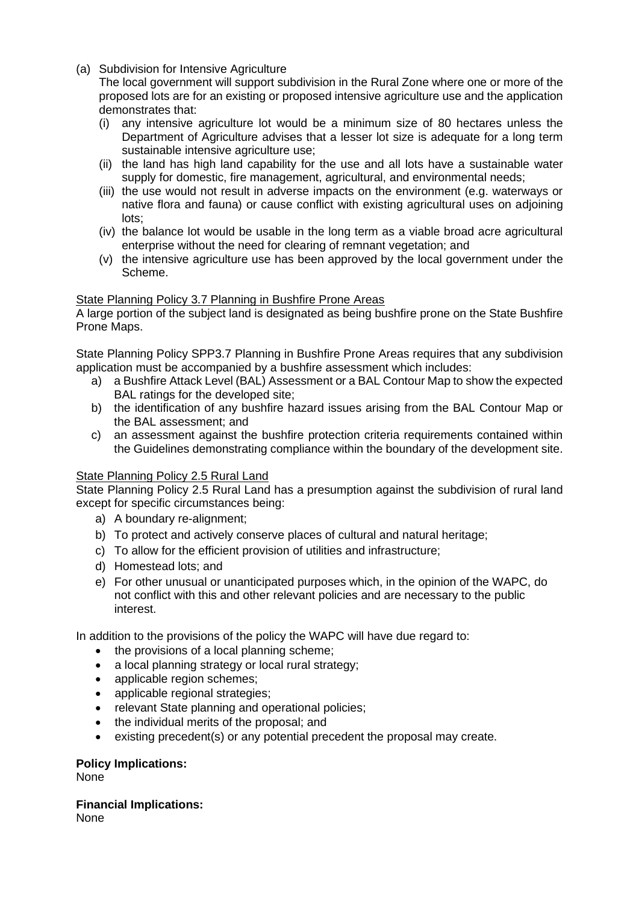(a) Subdivision for Intensive Agriculture

The local government will support subdivision in the Rural Zone where one or more of the proposed lots are for an existing or proposed intensive agriculture use and the application demonstrates that:

- (i) any intensive agriculture lot would be a minimum size of 80 hectares unless the Department of Agriculture advises that a lesser lot size is adequate for a long term sustainable intensive agriculture use;
- (ii) the land has high land capability for the use and all lots have a sustainable water supply for domestic, fire management, agricultural, and environmental needs;
- (iii) the use would not result in adverse impacts on the environment (e.g. waterways or native flora and fauna) or cause conflict with existing agricultural uses on adjoining lots;
- (iv) the balance lot would be usable in the long term as a viable broad acre agricultural enterprise without the need for clearing of remnant vegetation; and
- (v) the intensive agriculture use has been approved by the local government under the Scheme.

# State Planning Policy 3.7 Planning in Bushfire Prone Areas

A large portion of the subject land is designated as being bushfire prone on the State Bushfire Prone Maps.

State Planning Policy SPP3.7 Planning in Bushfire Prone Areas requires that any subdivision application must be accompanied by a bushfire assessment which includes:

- a) a Bushfire Attack Level (BAL) Assessment or a BAL Contour Map to show the expected BAL ratings for the developed site;
- b) the identification of any bushfire hazard issues arising from the BAL Contour Map or the BAL assessment; and
- c) an assessment against the bushfire protection criteria requirements contained within the Guidelines demonstrating compliance within the boundary of the development site.

# State Planning Policy 2.5 Rural Land

State Planning Policy 2.5 Rural Land has a presumption against the subdivision of rural land except for specific circumstances being:

- a) A boundary re-alignment;
- b) To protect and actively conserve places of cultural and natural heritage;
- c) To allow for the efficient provision of utilities and infrastructure;
- d) Homestead lots; and
- e) For other unusual or unanticipated purposes which, in the opinion of the WAPC, do not conflict with this and other relevant policies and are necessary to the public interest.

In addition to the provisions of the policy the WAPC will have due regard to:

- the provisions of a local planning scheme;
- a local planning strategy or local rural strategy;
- applicable region schemes;
- applicable regional strategies;
- relevant State planning and operational policies;
- the individual merits of the proposal; and
- existing precedent(s) or any potential precedent the proposal may create.

# **Policy Implications:**

None

**Financial Implications:**

None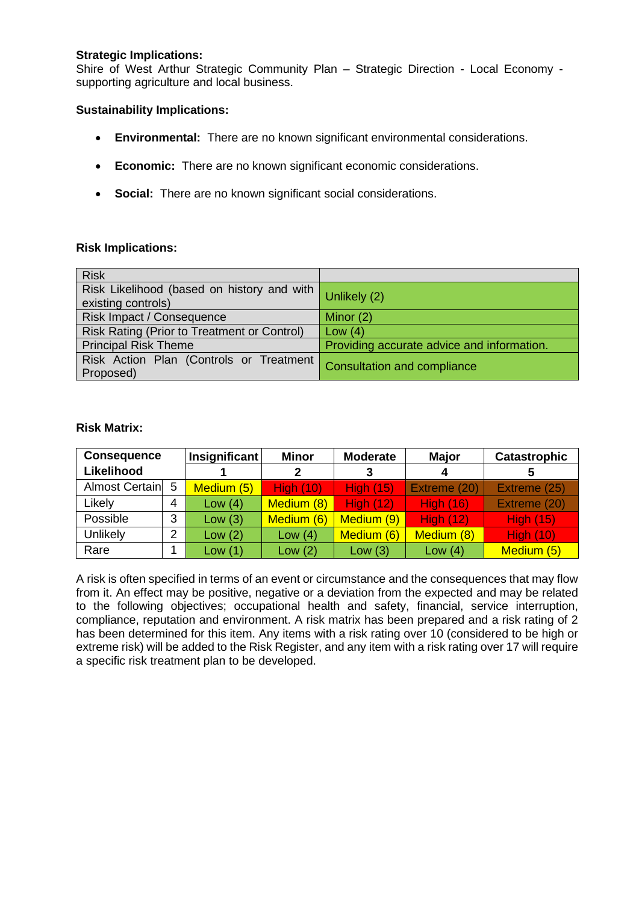# **Strategic Implications:**

Shire of West Arthur Strategic Community Plan – Strategic Direction - Local Economy supporting agriculture and local business.

#### **Sustainability Implications:**

- **Environmental:** There are no known significant environmental considerations.
- **Economic:** There are no known significant economic considerations.
- **Social:** There are no known significant social considerations.

#### **Risk Implications:**

| <b>Risk</b>                                                      |                                            |
|------------------------------------------------------------------|--------------------------------------------|
| Risk Likelihood (based on history and with<br>existing controls) | Unlikely (2)                               |
| Risk Impact / Consequence                                        | Minor $(2)$                                |
| Risk Rating (Prior to Treatment or Control)                      | Low $(4)$                                  |
| <b>Principal Risk Theme</b>                                      | Providing accurate advice and information. |
| Risk Action Plan (Controls or Treatment<br>Proposed)             | <b>Consultation and compliance</b>         |

#### **Risk Matrix:**

| <b>Consequence</b> |   | Insignificant | <b>Minor</b>     | <b>Moderate</b>  | <b>Major</b>     | <b>Catastrophic</b> |
|--------------------|---|---------------|------------------|------------------|------------------|---------------------|
| Likelihood         |   |               |                  |                  |                  | 5                   |
| Almost Certain 5   |   | Medium (5)    | <b>High (10)</b> | <b>High (15)</b> | Extreme (20)     | Extreme (25)        |
| Likely             | 4 | Low $(4)$     | Medium (8)       | <b>High (12)</b> | <b>High (16)</b> | Extreme (20)        |
| Possible           | 3 | Low(3)        | Medium (6)       | Medium (9)       | <b>High (12)</b> | <b>High (15)</b>    |
| Unlikely           | 2 | Low $(2)$     | Low $(4)$        | Medium (6)       | Medium (8)       | <b>High (10)</b>    |
| Rare               |   | Low $(1)$     | Low $(2)$        | Low $(3)$        | Low $(4)$        | Medium (5)          |

A risk is often specified in terms of an event or circumstance and the consequences that may flow from it. An effect may be positive, negative or a deviation from the expected and may be related to the following objectives; occupational health and safety, financial, service interruption, compliance, reputation and environment. A risk matrix has been prepared and a risk rating of 2 has been determined for this item. Any items with a risk rating over 10 (considered to be high or extreme risk) will be added to the Risk Register, and any item with a risk rating over 17 will require a specific risk treatment plan to be developed.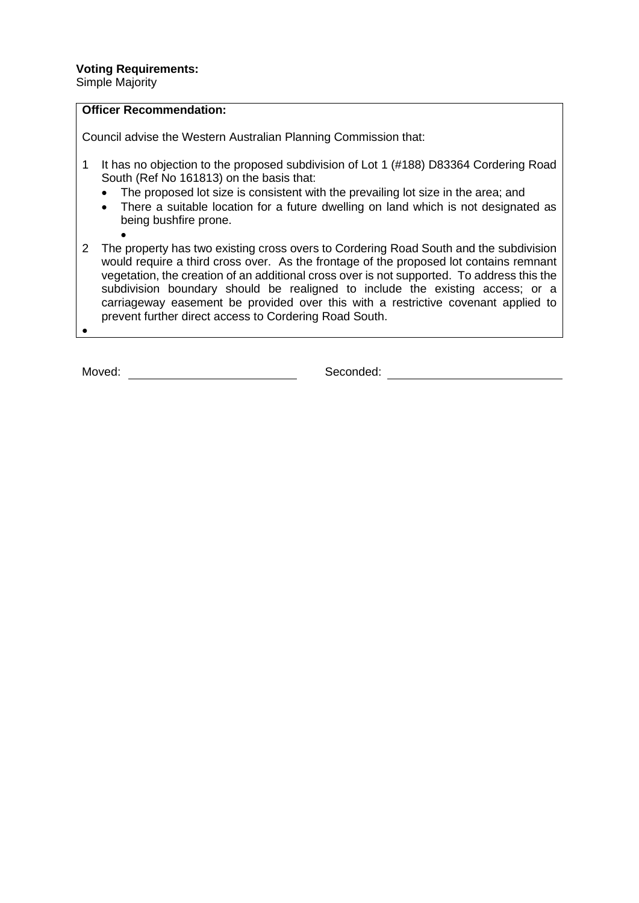Simple Majority

# **Officer Recommendation:**

Council advise the Western Australian Planning Commission that:

- 1 It has no objection to the proposed subdivision of Lot 1 (#188) D83364 Cordering Road South (Ref No 161813) on the basis that:
	- The proposed lot size is consistent with the prevailing lot size in the area; and
	- There a suitable location for a future dwelling on land which is not designated as being bushfire prone.
- 2 The property has two existing cross overs to Cordering Road South and the subdivision would require a third cross over. As the frontage of the proposed lot contains remnant vegetation, the creation of an additional cross over is not supported. To address this the subdivision boundary should be realigned to include the existing access; or a carriageway easement be provided over this with a restrictive covenant applied to prevent further direct access to Cordering Road South.

•

Moved: Seconded: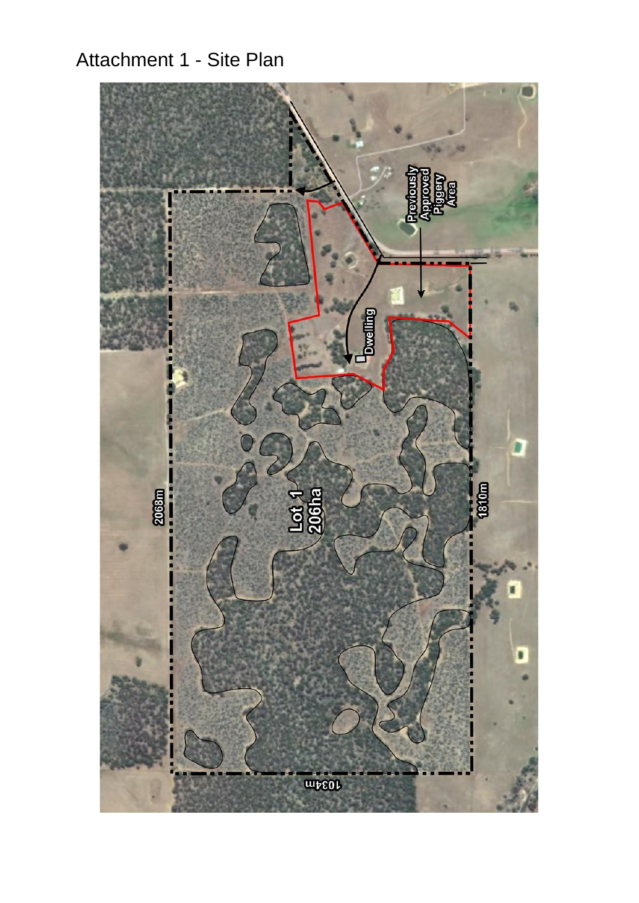# Attachment 1 - Site Plan

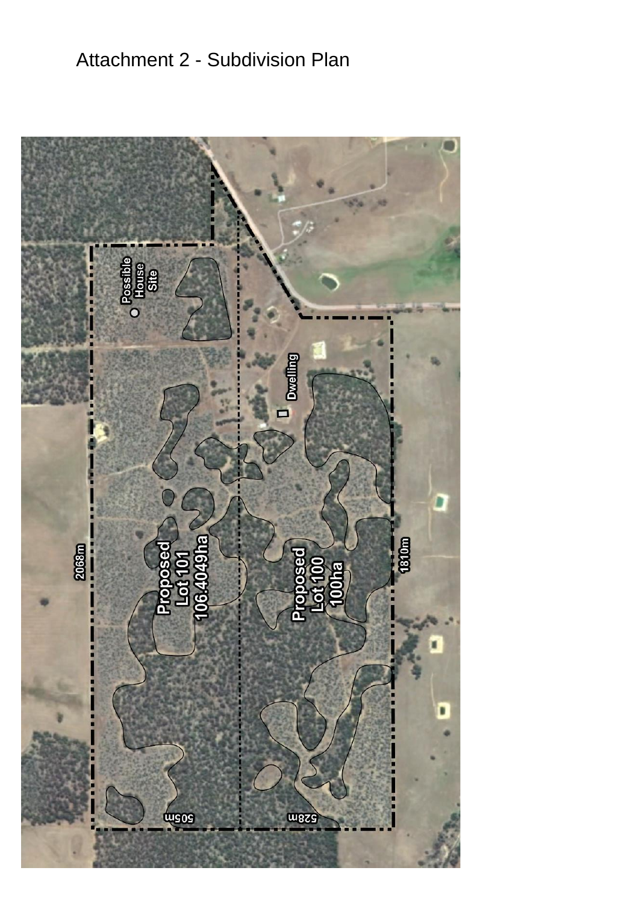# Attachment 2 - Subdivision Plan